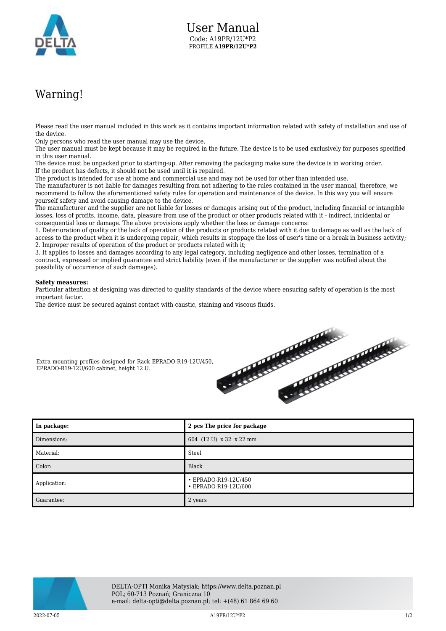

## Warning!

Please read the user manual included in this work as it contains important information related with safety of installation and use of the device.

Only persons who read the user manual may use the device.

The user manual must be kept because it may be required in the future. The device is to be used exclusively for purposes specified in this user manual.

The device must be unpacked prior to starting-up. After removing the packaging make sure the device is in working order. If the product has defects, it should not be used until it is repaired.

The product is intended for use at home and commercial use and may not be used for other than intended use.

The manufacturer is not liable for damages resulting from not adhering to the rules contained in the user manual, therefore, we recommend to follow the aforementioned safety rules for operation and maintenance of the device. In this way you will ensure yourself safety and avoid causing damage to the device.

The manufacturer and the supplier are not liable for losses or damages arising out of the product, including financial or intangible losses, loss of profits, income, data, pleasure from use of the product or other products related with it - indirect, incidental or consequential loss or damage. The above provisions apply whether the loss or damage concerns:

1. Deterioration of quality or the lack of operation of the products or products related with it due to damage as well as the lack of access to the product when it is undergoing repair, which results in stoppage the loss of user's time or a break in business activity; 2. Improper results of operation of the product or products related with it;

3. It applies to losses and damages according to any legal category, including negligence and other losses, termination of a contract, expressed or implied guarantee and strict liability (even if the manufacturer or the supplier was notified about the possibility of occurrence of such damages).

## **Safety measures:**

EPRADO-R19-12U/600 cabinet, height 12 U.

Particular attention at designing was directed to quality standards of the device where ensuring safety of operation is the most important factor.

The device must be secured against contact with caustic, staining and viscous fluids.



| In package:  | 2 pcs The price for package                  |
|--------------|----------------------------------------------|
| Dimensions:  | 604 (12 U) x 32 x 22 mm                      |
| Material:    | Steel                                        |
| Color:       | Black                                        |
| Application: | • EPRADO-R19-12U/450<br>• EPRADO-R19-12U/600 |
| Guarantee:   | 2 years                                      |



2022-07-05 A19PR/12U\*P2 1/2